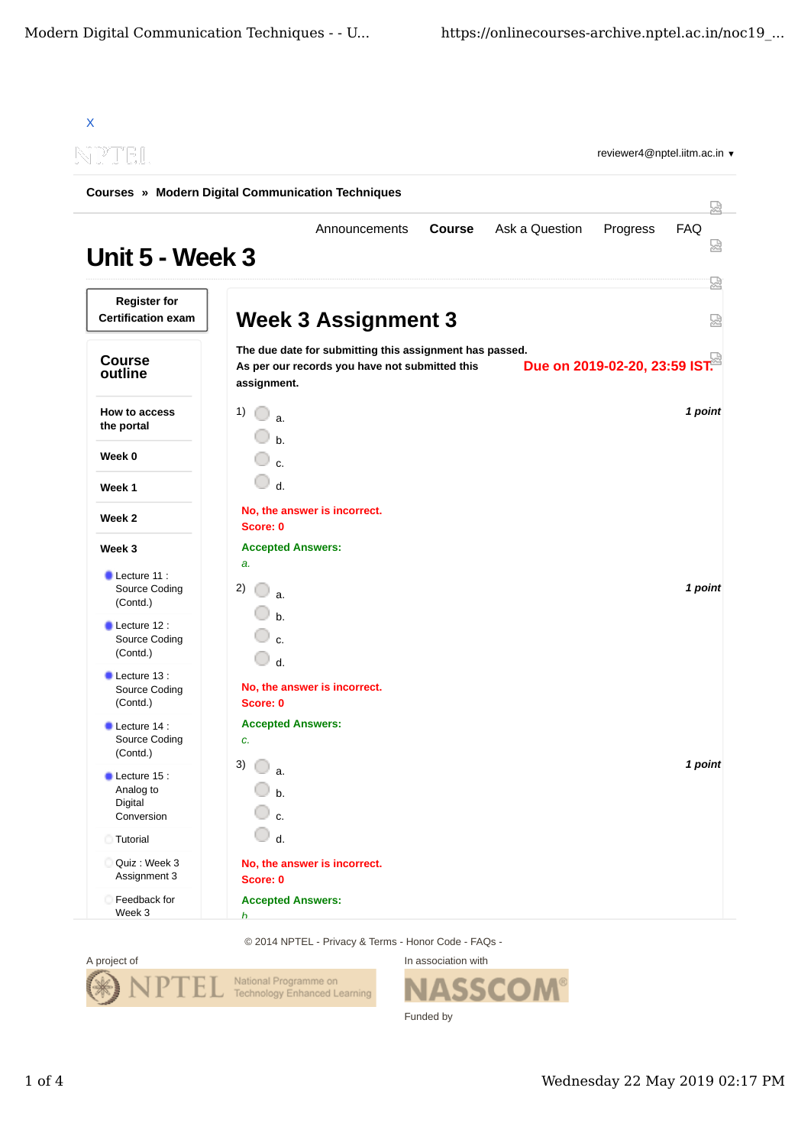| TPTET                                                        |                                          |                                                                                                           |               |                | reviewer4@nptel.iitm.ac.in ▼  |            |
|--------------------------------------------------------------|------------------------------------------|-----------------------------------------------------------------------------------------------------------|---------------|----------------|-------------------------------|------------|
| <b>Courses » Modern Digital Communication Techniques</b>     |                                          |                                                                                                           |               |                |                               |            |
| Unit 5 - Week 3                                              |                                          | Announcements                                                                                             | <b>Course</b> | Ask a Question | Progress                      | <b>FAQ</b> |
| <b>Register for</b><br><b>Certification exam</b>             |                                          | <b>Week 3 Assignment 3</b>                                                                                |               |                |                               |            |
| <b>Course</b><br>outline                                     | assignment.                              | The due date for submitting this assignment has passed.<br>As per our records you have not submitted this |               |                | Due on 2019-02-20, 23:59 IST. |            |
| How to access<br>the portal                                  | 1)<br>0<br>a.<br>$h$ .                   |                                                                                                           |               |                |                               | 1 point    |
| Week 0                                                       | $\mathbf{c}$                             |                                                                                                           |               |                |                               |            |
| Week 1                                                       | d.                                       |                                                                                                           |               |                |                               |            |
| Week 2                                                       | No, the answer is incorrect.<br>Score: 0 |                                                                                                           |               |                |                               |            |
| Week 3                                                       | <b>Accepted Answers:</b>                 |                                                                                                           |               |                |                               |            |
| $\blacksquare$ Lecture 11 :<br>Source Coding<br>(Contd.)     | a.<br>2)<br>a.                           |                                                                                                           |               |                |                               | 1 point    |
| $\blacksquare$ Lecture 12 :<br>Source Coding<br>(Contd.)     | $b$<br>$\mathsf{C}$<br>0<br>$d$ .        |                                                                                                           |               |                |                               |            |
| $\blacksquare$ Lecture 13 :<br>Source Coding<br>(Contd.)     | No, the answer is incorrect.<br>Score: 0 |                                                                                                           |               |                |                               |            |
| $\blacksquare$ Lecture 14 :<br>Source Coding<br>(Contd.)     | <b>Accepted Answers:</b><br>c.           |                                                                                                           |               |                |                               |            |
| $\bullet$ Lecture 15 :<br>Analog to<br>Digital<br>Conversion | 3)<br>a.<br>b.<br>c.                     |                                                                                                           |               |                |                               | 1 point    |
| Tutorial                                                     | d.                                       |                                                                                                           |               |                |                               |            |
| Quiz : Week 3<br>Assignment 3                                | No, the answer is incorrect.<br>Score: 0 |                                                                                                           |               |                |                               |            |
| Feedback for                                                 | <b>Accepted Answers:</b>                 |                                                                                                           |               |                |                               |            |

© 2014 NPTEL - Privacy & Terms - Honor Code - FAQs -



In association with **SSCOM®** Funded by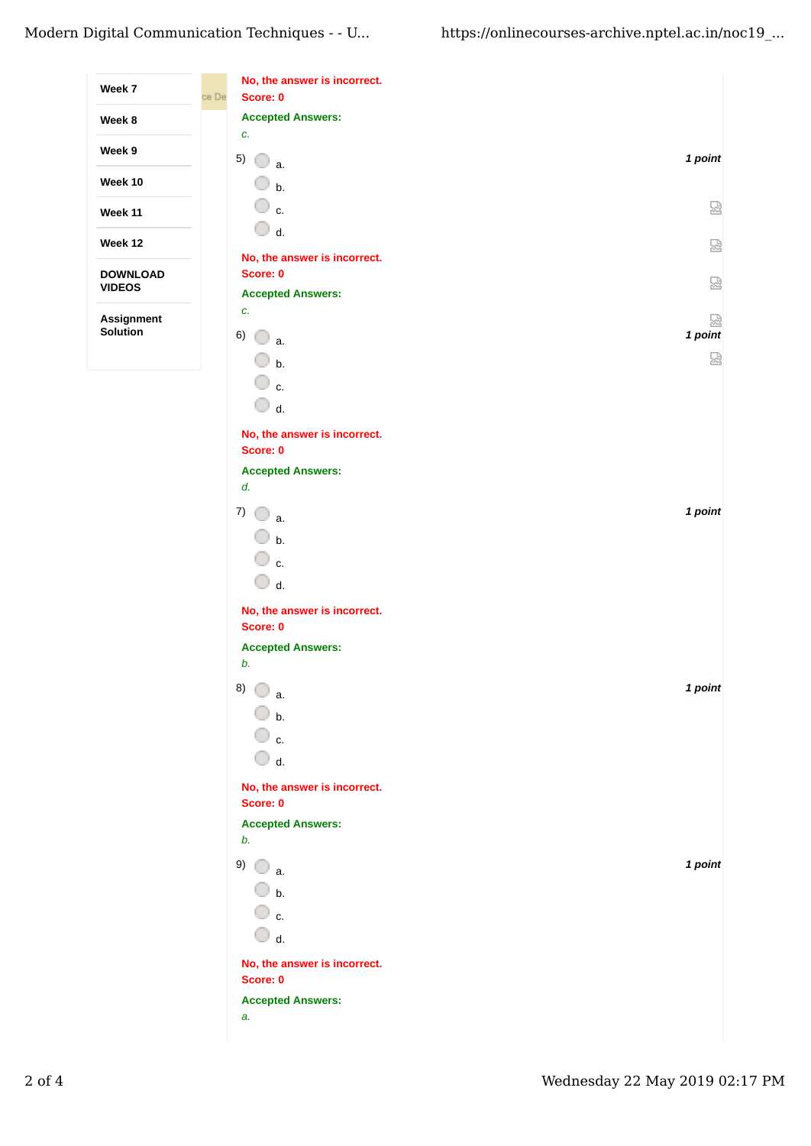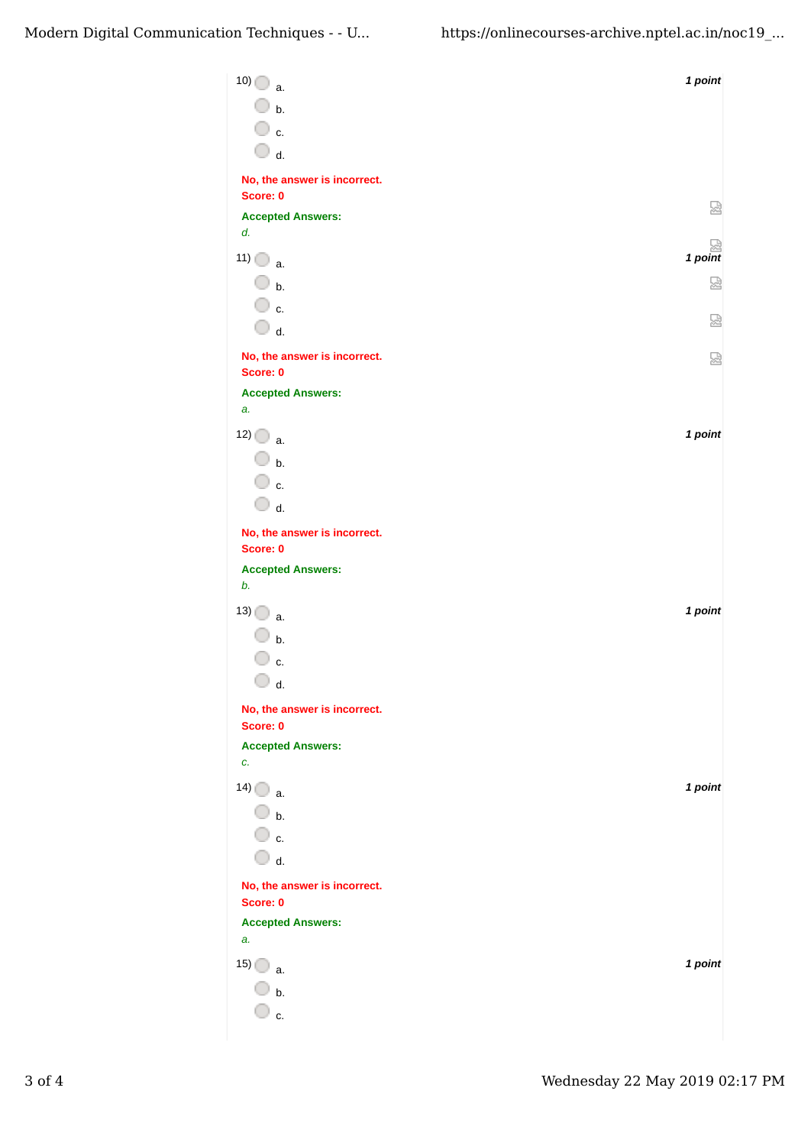| $10)$ a.                                 | 1 point   |
|------------------------------------------|-----------|
| $\overline{\mathbb{O}}$ b.               |           |
| $\overline{\mathbb{O}}$ c.               |           |
| $\bigcirc$ d.                            |           |
| No, the answer is incorrect.             |           |
| Score: 0                                 | 썮         |
| <b>Accepted Answers:</b><br>d.           |           |
| $11)$ $\bigcirc$ a.                      | $1$ point |
| $\bigcirc$ b.                            | ⊠         |
| ○ c.                                     |           |
| $\bigcirc$ d.                            | 썮         |
| No, the answer is incorrect.             | 쩑         |
| Score: 0                                 |           |
| <b>Accepted Answers:</b><br>a.           |           |
| $12)$ a.                                 | 1 point   |
| $\bigcirc$ b.                            |           |
| $\overline{\mathbb{O}}$ c.               |           |
| $\bigcirc$ d.                            |           |
| No, the answer is incorrect.             |           |
| Score: 0                                 |           |
| <b>Accepted Answers:</b><br>b.           |           |
| $13)$ a.                                 | 1 point   |
| $\Box$ b.                                |           |
| c.                                       |           |
| $\Box$ d.                                |           |
| No, the answer is incorrect.<br>Score: 0 |           |
| <b>Accepted Answers:</b>                 |           |
| c.                                       |           |
| $14)$ a.                                 | 1 point   |
| $\bigcirc$ b.                            |           |
| $\overline{\mathbb{O}}$ c.               |           |
| $\overline{\mathbb{O}}$ d.               |           |
| No, the answer is incorrect.<br>Score: 0 |           |
| <b>Accepted Answers:</b>                 |           |
| a.                                       |           |
| 15)<br>a.                                | 1 point   |
| $\mathsf{b}$ .                           |           |
| $\Box$ c.                                |           |